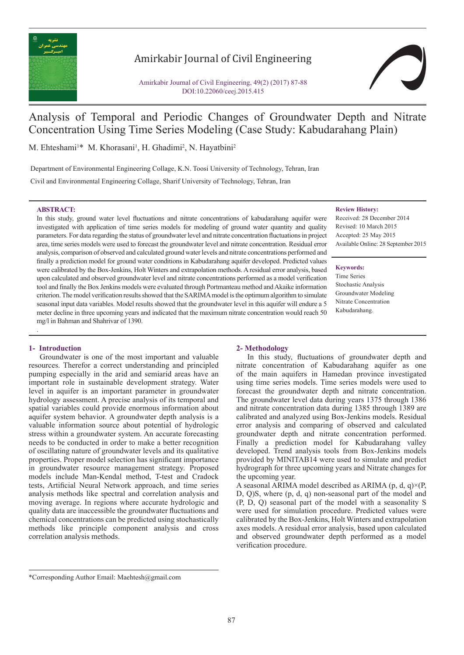

# Amirkabir Journal of Civil Engineering

Amirkabir Journal of Civil Engineering, 49(2) (2017) 87-88 DOI:10.22060/ceej.2015.415



# Analysis of Temporal and Periodic Changes of Groundwater Depth and Nitrate Concentration Using Time Series Modeling (Case Study: Kabudarahang Plain)

M. Ehteshami<sup>1\*</sup> M. Khorasani<sup>1</sup>, H. Ghadimi<sup>2</sup>, N. Hayatbini<sup>2</sup>

Department of Environmental Engineering Collage, K.N. Toosi University of Technology, Tehran, Iran

Civil and Environmental Engineering Collage, Sharif University of Technology, Tehran, Iran

### **ABSTRACT:**

In this study, ground water level fluctuations and nitrate concentrations of kabudarahang aquifer were investigated with application of time series models for modeling of ground water quantity and quality parameters. For data regarding the status of groundwater level and nitrate concentration fluctuations in project area, time series models were used to forecast the groundwater level and nitrate concentration. Residual error analysis, comparison of observed and calculated ground water levels and nitrate concentrations performed and finally a prediction model for ground water conditions in Kabudarahang aquifer developed. Predicted values were calibrated by the Box-Jenkins, Holt Winters and extrapolation methods. A residual error analysis, based upon calculated and observed groundwater level and nitrate concentrations performed as a model verification tool and finally the Box Jenkins models were evaluated through Portmanteau method and Akaike information criterion. The model verification results showed that the SARIMA model is the optimum algorithm to simulate seasonal input data variables. Model results showed that the groundwater level in this aquifer will endure a 5 meter decline in three upcoming years and indicated that the maximum nitrate concentration would reach 50 mg/l in Bahman and Shahrivar of 1390.

### **Review History:**

Received: 28 December 2014 Revised: 10 March 2015 Accepted: 25 May 2015 Available Online: 28 September 2015

### **Keywords:**

Time Series Stochastic Analysis Groundwater Modeling Nitrate Concentration Kabudarahang.

## **1- Introduction**

.

Groundwater is one of the most important and valuable resources. Therefor a correct understanding and principled pumping especially in the arid and semiarid areas have an important role in sustainable development strategy. Water level in aquifer is an important parameter in groundwater hydrology assessment. A precise analysis of its temporal and spatial variables could provide enormous information about aquifer system behavior. A groundwater depth analysis is a valuable information source about potential of hydrologic stress within a groundwater system. An accurate forecasting needs to be conducted in order to make a better recognition of oscillating nature of groundwater levels and its qualitative properties. Proper model selection has significant importance in groundwater resource management strategy. Proposed models include Man-Kendal method, T-test and Cradock tests, Artificial Neural Network approach, and time series analysis methods like spectral and correlation analysis and moving average. In regions where accurate hydrologic and quality data are inaccessible the groundwater fluctuations and chemical concentrations can be predicted using stochastically methods like principle component analysis and cross correlation analysis methods.

### **2- Methodology**

In this study, fluctuations of groundwater depth and nitrate concentration of Kabudarahang aquifer as one of the main aquifers in Hamedan province investigated using time series models. Time series models were used to forecast the groundwater depth and nitrate concentration. The groundwater level data during years 1375 through 1386 and nitrate concentration data during 1385 through 1389 are calibrated and analyzed using Box-Jenkins models. Residual error analysis and comparing of observed and calculated groundwater depth and nitrate concentration performed. Finally a prediction model for Kabudarahang valley developed. Trend analysis tools from Box-Jenkins models provided by MINITAB14 were used to simulate and predict hydrograph for three upcoming years and Nitrate changes for the upcoming year.

A seasonal ARIMA model described as ARIMA (p, d, q) $\times$ (P, D, Q)S, where (p, d, q) non-seasonal part of the model and (P, D, Q) seasonal part of the model with a seasonality S were used for simulation procedure. Predicted values were calibrated by the Box-Jenkins, Holt Winters and extrapolation axes models. A residual error analysis, based upon calculated and observed groundwater depth performed as a model verification procedure.

<sup>\*</sup>Corresponding Author Email: Maehtesh@gmail.com